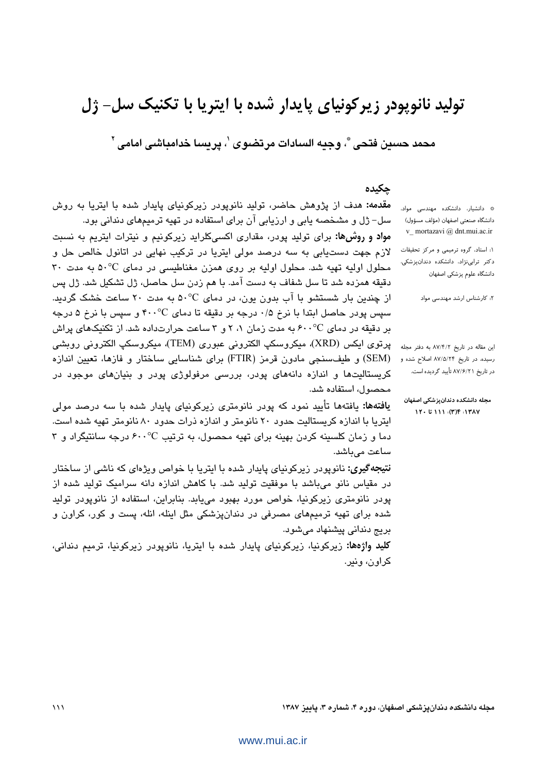# تولید نانویودر زیر کونیای پایدار شده با ایتریا با تکنیک سل- ژل

محمد حسين فتحي ؓ، وجبه السادات مرتضوي ٍ ٰ، پريسا خدامباشي امامي ِ ٚ

### جكيده

\* دانشیار، دانشکده مهندسی مواد، دانشگاه صنعتی اصفهان (مؤلف مسؤول) v\_ mortazavi @ dnt.mui.ac.ir

۱: استاد، گروه ترمیمی و مرکز تحقیقات دکتر ترابی نژاد، دانشکده دندانپزشکی، دانشگاه علوم پزشکی اصفهان

۲: کارشناس ارشد مهندسی مواد

این مقاله در تاریخ ۸۷/۴/۲ به دفتر مجله رسیده، در تاریخ ۸۷/۵/۲۴ اصلاح شده و در تاریخ ۸۷/۶/۲۱ تأیید گردیده است.

مجله دانشكده دندانيزشكي اصفهان ١٢٠ تا ١٢٠): ١١١ تا ١٢٠

مقدمه: هدف از پژوهش حاضر، تولید نانوپودر زیرکونیای پایدار شده با ایتریا به روش سل– ژل و مشخصه پابی و ارزیابی آن برای استفاده در تهیه ترمیمهای دندانی بود. مواد و روشها: برای تولید پودر، مقداری اکسیکلراید زیرکونیم و نیترات ایتریم به نسبت لازم جهت دستیابی به سه درصد مولی ایتریا در ترکیب نهایی در اتانول خالص حل و محلول اولیه تهیه شد. محلول اولیه بر روی همزن مغناطیسی در دمای 0°۵۰ به مدت ۳۰ دقيقه همزده شد تا سل شفاف به دست آمد. با هم زدن سل حاصل، ژل تشکيل شد. ژل پس از چندین بار شستشو با آب بدون یون، در دمای 0°۵۰ به مدت ۲۰ ساعت خشک گردید. سپس پودر حاصل ابتدا با نرخ ۰/۵ درجه بر دقیقه تا دمای ۴۰۰°C و سپس با نرخ ۵ درجه بر دقیقه در دمای ۶۰۰°C به مدت زمان ۱، ۲ و ۳ ساعت حرارتداده شد. از تکنیکهای پراش يرتوي ايكس (XRD)، ميكروسكي الكتروني عبوري (TEM)، ميكروسكي الكتروني روبشي (SEM) و طیفسنجی مادون قرمز (FTIR) برای شناسایی ساختار و فازها، تعیین اندازه کریستالیتها و اندازه دانههای پودر، بررسی مرفولوژی پودر و بنیانهای موجود در محصول، استفاده شد.

**یافتهها:** یافتهها تأیید نمود که پودر نانومتری زیرکونیای پایدار شده با سه درصد مولی ایتریا با اندازه کریستالیت حدود ۲۰ نانومتر و اندازه ذرات حدود ۸۰ نانومتر تهیه شده است. دما و زمان کلسینه کردن بهینه برای تهیه محصول، به ترتیب ۶۰۰°C درجه سانتیگراد و ۳ ساعت مے باشد. **نتیجه گیری:** نانوپودر زیرکونیای پایدار شده با ایتریا با خواص ویژهای که ناشی از ساختار

در مقیاس نانو میباشد با موفقیت تولید شد. با کاهش اندازه دانه سرامیک تولید شده از پودر نانومتری زیرکونیا، خواص مورد بهبود مییابد. بنابراین، استفاده از نانوپودر تولید شده برای تهیه ترمیمهای مصرفی در دندانپزشکی مثل اینله، انله، پست و کور، کراون و بريج دنداني پيشنهاد مي شود.

**کلید واژهها:** زیرکونیا، زیرکونیای پایدار شده با ایتریا، نانوپودر زیرکونیا، ترمیم دندانی، کراون، وندر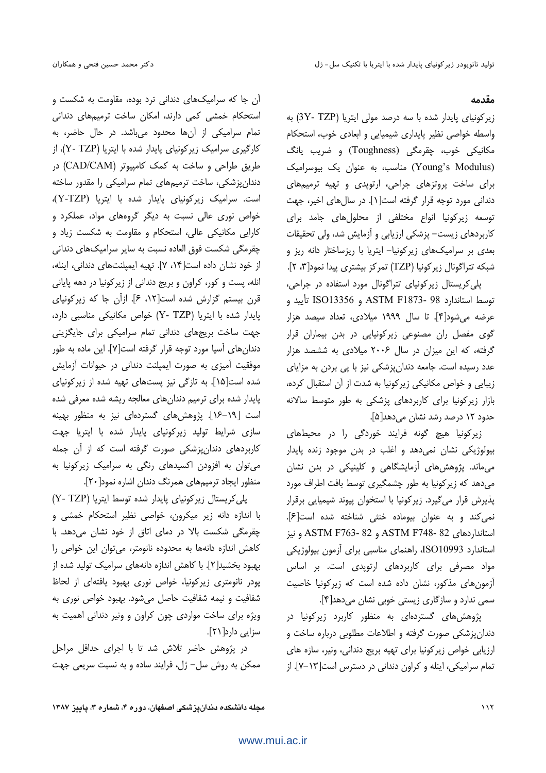#### مقدمه

زیر کونیای پایدار شده با سه درصد مولی ایتریا (3Y- TZP) به واسطه خواصى نظير پايدارى شيميايى و ابعادى خوب، استحكام مکانیکی خوب، چقرمگی (Toughness) و ضریب یانگ (Young's Modulus) مناسب، به عنوان یک بیوسرامیک برای ساخت پروتزهای جراحی، ارتوپدی و تهیه ترمیمهای دندانی مورد توجه قرار گرفته است[۱]. در سالهای اخیر، جهت توسعه زیرکونیا انواع مختلفی از محلولهای جامد برای كاربردهاى زيست– پزشكى ارزيابى و آزمايش شد، ولى تحقيقات بعدی بر سرامیکهای زیرکونیا- ایتریا با ریزساختار دانه ریز و شبكه تتراكونال زيركونيا (TZP) تمركز بيشتري پيدا نمود[٣، ٢].

پلی کریستال زیر کونیای تتراگونال مورد استفاده در جراحی، توسط استاندارد 98 -ASTM F1873 و ISO13356 تأييد و عرضه می شود[۴]. تا سال ۱۹۹۹ میلادی، تعداد سیصد هزار گوی مفصل ران مصنوعی زیرکونیایی در بدن بیماران قرار گرفته، که این میزان در سال ۲۰۰۶ میلادی به ششصد هزار عدد رسیده است. جامعه دندان پزشکی نیز با یی بردن به مزایای زیبایی و خواص مکانیکی زیرکونیا به شدت از آن استقبال کرده، بازار زیرکونیا برای کاربردهای پزشکی به طور متوسط سالانه حدود ١٢ درصد رشد نشان مي<هد[۵].

زیرکونیا هیچ گونه فرایند خوردگی را در محیطهای بیولوژیکی نشان نمیدهد و اغلب در بدن موجود زنده پایدار می،ماند. پژوهش،های آزمایشگاهی و کلینیکی در بدن نشان می دهد که زیر کونیا به طور چشمگیری توسط بافت اطراف مورد پذیرش قرار میگیرد. زیرکونیا با استخوان پیوند شیمیایی برقرار نمي كند و به عنوان بيوماده خنثى شناخته شده است[۶]. استانداردهای 82 -ASTM F748 و 82 -ASTM F763 و نيز استاندارد ISO10993، راهنمای مناسبی برای آزمون بیولوژیکی مواد مصرفی برای کاربردهای ارتوپدی است. بر اساس آزمونهای مذکور، نشان داده شده است که زیرکونیا خاصیت سمی ندارد و سازگاری زیستی خوبی نشان میدهد[۴].

پژوهش های گستردهای به منظور کاربرد زیرکونیا در دندانپزشکی صورت گرفته و اطلاعات مطلوبی درباره ساخت و ارزیابی خواص زیرکونیا برای تهیه بریج دندانی، ونیر، سازه های تمام سرامیکی، اینله و کراون دندانی در دسترس است[۱۳-۷]. از

آن جا که سرامیکهای دندانی ترد بوده، مقاومت به شکست و استحکام خمشی کمی دارند، امکان ساخت ترمیمهای دندانی تمام سرامیکی از آنها محدود میباشد. در حال حاضر، به کارگیری سرامیک زیرکونیای پایدار شده با ایتریا (Y- TZP)، از طريق طراحي و ساخت به كمك كامپيوتر (CAD/CAM) در دندانپزشکی، ساخت ترمیمهای تمام سرامیکی را مقدور ساخته است. سرامیک زیرکونیای پایدار شده با ایتریا (Y-TZP)، خواص نوری عالی نسبت به دیگر گروههای مواد، عملکرد و کارایی مکانیکی عالی، استحکام و مقاومت به شکست زیاد و چقرمگی شکست فوق العاده نسبت به سایر سرامیکهای دندانی از خود نشان داده است[۱۴، ۷]. تهیه ایمیلنتهای دندانی، اینله، انله، پست و کور، کراون و بریج دندانی از زیرکونیا در دهه پایانی قرن بیستم گزارش شده است[۱۲، ۶]. ازآن جا که زیرکونیای پایدار شده با ایتریا (Y- TZP) خواص مکانیکی مناسبی دارد، جهت ساخت بریجهای دندانی تمام سرامیکی برای جایگزینی دندان های آسیا مورد توجه قرار گرفته است[۷]. این ماده به طور موفقیت آمیزی به صورت ایمپلنت دندانی در حیوانات آزمایش شده است[۱۵]. به تازگی نیز پستهای تهیه شده از زیرکونیای پایدار شده برای ترمیم دندانهای معالجه ریشه شده معرفی شده است [١٩-١۶]. پژوهشهای گستردهای نیز به منظور بهینه سازی شرایط تولید زیرکونیای پایدار شده با ایتریا جهت کاربردهای دندانپزشکی صورت گرفته است که از آن جمله می توان به افزودن اکسیدهای رنگی به سرامیک زیرکونیا به منظور ایجاد ترمیمهای همرنگ دندان اشاره نمود[۲۰].

پلی کریستال زیر کونیای پایدار شده توسط ایتریا (Y- TZP) با اندازه دانه زیر میکرون، خواصی نظیر استحکام خمشی و چقرمگی شکست بالا در دمای اتاق از خود نشان میدهد. با كاهش اندازه دانهها به محدوده نانومتر، مى توان اين خواص را بهبود بخشید[۲]. با کاهش اندازه دانههای سرامیک تولید شده از پودر نانومتری زیرکونیا، خواص نوری بهبود یافتهای از لحاظ شفافیت و نیمه شفافیت حاصل می شود. بهبود خواص نوری به ویژه برای ساخت مواردی چون کراون و ونیر دندانی اهمیت به سزایی دارد[۲۱].

در پژوهش حاضر تلاش شد تا با اجرای حداقل مراحل ممکن به روش سل– ژل، فرایند ساده و به نسبت سریعی جهت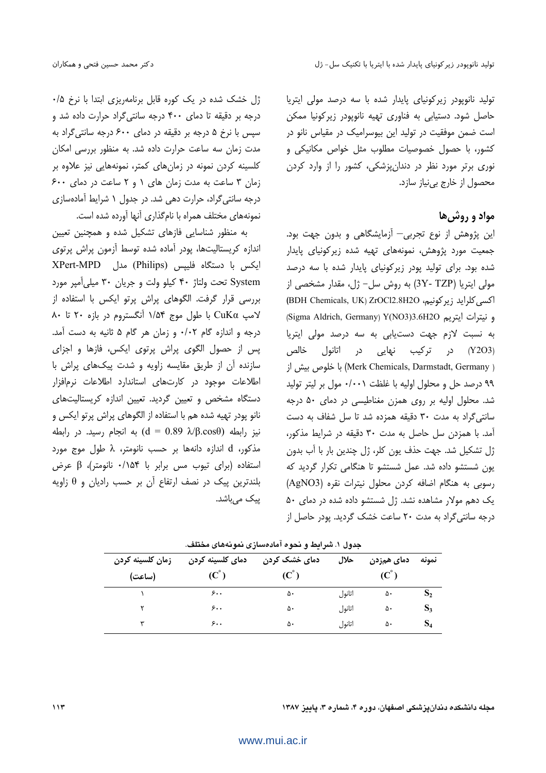تولید نانویودر زیرکونیای پایدار شده با سه درصد مولی ایترپا حاصل شود. دستیابی به فناوری تهیه نانوپودر زیرکونیا ممکن است ضمن موفقیت در تولید این بیوسرامیک در مقیاس نانو در كشور، با حصول خصوصيات مطلوب مثل خواص مكانيكى و نوری برتر مورد نظر در دندان پزشکی، کشور را از وارد کردن محصول از خارج بي نياز سازد.

مواد و روش ها

این پژوهش از نوع تجربی— آزمایشگاهی و بدون جهت بود. جمعیت مورد پژوهش، نمونههای تهیه شده زیرکونیای پایدار شده بود. برای تولید یود<sub>( ز</sub>یرکونیای پایدار شده با سه درصد مولی ایتریا (3Y- TZP) به روش سل- ژل، مقدار مشخصی از اكسى كلرايد زير كونيم، ZrOCl2.8H2O (BDH Chemicals, UK) ZrOCl2.8H2O و نيترات ايتريم Sigma Aldrich, Germany) Y(NO3)3.6H2O به نسبت لازم جهت دستیابی به سه درصد مولی ایتریا (Y2O3) در ترکیب نهایی در اتانول خالص ( Merk Chemicals, Darmstadt, Germany) با خلوص بیش از ۹۹ درصد حل و محلول اولیه با غلظت ۰/۰۰۱ مول بر لیتر تولید شد. محلول اولیه بر روی همزن مغناطیسی در دمای ۵۰ درجه سانتی گراد به مدت ۳۰ دقیقه همزده شد تا سل شفاف به دست آمد. با همزدن سل حاصل به مدت ۳۰ دقیقه در شرایط مذکور، ژل تشکیل شد. جهت حذف یون کلر، ژل چندین بار با آب بدون یون شستشو داده شد. عمل شستشو تا هنگامی تکرار گردید که رسوبی به هنگام اضافه کردن محلول نیترات نقره (AgNO3) یک دهم مولار مشاهده نشد. ژل شستشو داده شده در دمای ۵۰ درجه سانتی گراد به مدت ٢٠ ساعت خشک گرديد. پودر حاصل از

ژل خشک شده در یک کوره قابل برنامهریزی ابتدا با نرخ ۰/۵ درجه بر دقیقه تا دمای ۴۰۰ درجه سانتی گراد حرارت داده شد و سپس با نرخ ۵ درجه بر دقیقه در دمای ۶۰۰ درجه سانتی گراد به مدت زمان سه ساعت حرارت داده شد. به منظور بررسی امکان کلسینه کردن نمونه در زمانهای کمتر، نمونههایی نیز علاوه بر زمان ۳ ساعت به مدت زمان های ۱ و ۲ ساعت در دمای ۶۰۰ درجه سانتی گراد، حرارت دهی شد. در جدول ۱ شرایط آمادهسازی نمونههای مختلف همراه با نامگذاری آنها آورده شده است.

به منظور شناسایی فازهای تشکیل شده و همچنین تعیین اندازه كريستاليتها، پودر آماده شده توسط آزمون پراش پرتوى ایکس با دستگاه فلیپس (Philips) مدل XPert-MPD System تحت ولتاژ ۴۰ كيلو ولت و جريان ٣٠ ميلي آمپر مورد بررسی قرار گرفت. الگوهای پراش پرتو ایکس با استفاده از لامپ CuKα با طول موج ۱/۵۴ آنگستروم در بازه ۲۰ تا ۸۰ درجه و اندازه گام ۰/۰۲ و زمان هر گام ۵ ثانیه به دست آمد. پس از حصول الگوی پراش پرتوی ایکس، فازها و اجزای سازنده آن از طریق مقایسه زاویه و شدت پیکهای پراش با اطلاعات موجود در كارتهاى استاندارد اطلاعات نرمافزار دستگاه مشخص و تعیین گردید. تعیین اندازه کریستالیتهای نانو پودر تهیه شده هم با استفاده از الگوهای پراش پرتو ایکس و نيز رابطه (d = 0.89 λ/β.cosθ) به انجام رسيد. در رابطه مذكور، d اندازه دانهها بر حسب نانومتر، A طول موج مورد استفاده (برای تیوب مس برابر با ۰/۱۵۴ نانومتر)، β عرض بلندترین پیک در نصف ارتفاع آن بر حسب رادیان و  $\theta$  زاویه پیک می,باشد.

| زمان كلسينه كردن<br>(ساعت) | دمای کلسینه کردن<br>$(C^{\circ})$ | دمای خشک کردن<br>$\mathbf{C}^{\circ}$ | حلال   | دمای همزدن<br>$(C^{\circ})$ | نمونه          |
|----------------------------|-----------------------------------|---------------------------------------|--------|-----------------------------|----------------|
|                            | ۶۰۰                               | ۵۰                                    | اتانول | ۵۰                          | $\mathbf{D}_2$ |
|                            | ۶۰۰                               | ۵۰                                    | اتانول | ۵۰                          | $S_3$          |
|                            | ۶.,                               | ۵۰                                    | اتانول | ۵۰                          | $S_4$          |

| جدول ۱. شرایط و نحوه آمادهسازی نمونههای مختلف. |  |  |  |
|------------------------------------------------|--|--|--|
|------------------------------------------------|--|--|--|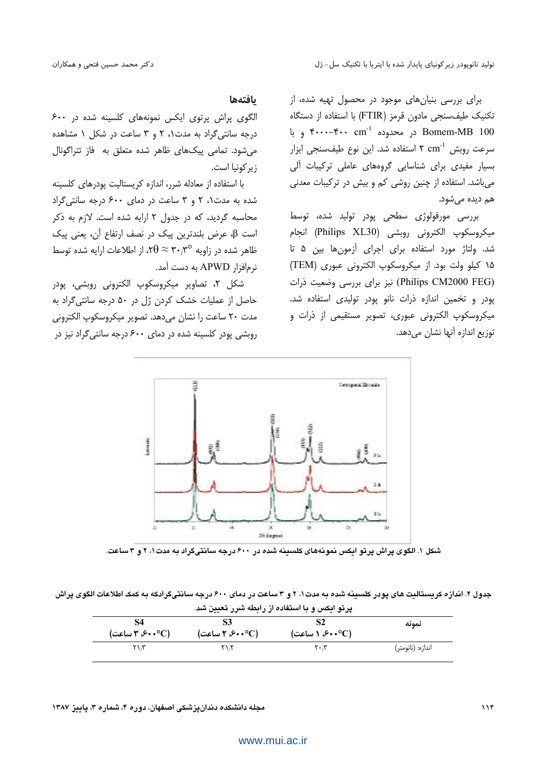برای بررسی بنیانهای موجود در محصول تهیه شده، از تكنيك طيف سنجي مادون قرمز (FTIR) با استفاده از دستگاه و با Bomem-MB 100 در محدوده  $\mathbf{f} \cdot \mathbf{f} \cdot \mathbf{f} \cdot \mathbf{f}$  و با سرعت روبش cm<sup>-1</sup> استفاده شد. این نوع طیفسنجی ابزار بسیار مفیدی برای شناسایی گروههای عاملی ترکیبات آلی میباشد. استفاده از چنین روشی کم و بیش در ترکیبات معدنی هم دیده مے شود.

بررسی مورفولوژی سطحی پودر تولید شده، توسط ميكروسكوپ الكترونى روبشى (Philips XL30) انجام شد. ولتاژ مورد استفاده برای اجرای آزمونها بین ۵ تا ۱۵ كيلو ولت بود. از ميكروسكوپ الكتروني عبوري (TEM) (Philips CM2000 FEG) نیز برای بررسی وضعیت ذرات پودر و تخمین اندازه ذرات نانو پودر تولیدی استفاده شد. میکروسکوپ الکترونی عبوری، تصویر مستقیمی از ذرات و توزیع اندازه آنها نشان میدهد.

### بافتهها

الگوی پراش پرتوی ایکس نمونههای کلسینه شده در ۶۰۰ درجه سانتی گراد به مدت ۰، ۲ و ۳ ساعت در شکل ۱ مشاهده میشود. تمامی پیکهای ظاهر شده متعلق به فاز تتراگونال ز د کونیا است.

با استفاده از معادله شرر، اندازه کریستالیت پودرهای کلسینه شده به مدت ۲ و ۳ ساعت در دمای ۶۰۰ درجه سانتی گراد محاسبه گردید، که در جدول ۲ ارایه شده است. لازم به ذکر است  $\beta$ ، عرض بلندترین پیک در نصف ارتفاع آن، یعنی پیک ظاهر شده در زاویه ۳۰٫۳° $\theta \approx 0$ ۲۰ از اطلاعات ارایه شده توسط نرم|فزار APWD به دست آمد.

شكل ٢، تصاوير ميكروسكوپ الكتروني روبشي، پودر حاصل از عملیات خشک کردن ژل در ۵۰ درجه سانتی گراد به مدت ٢٠ ساعت را نشان مي دهد. تصوير ميكروسكوپ الكتروني روبشی یودر کلسینه شده در دمای ۶۰۰ درجه سانتی گراد نیز در



شکل ۱. الگوی پراش پر تو ایکس نمویههای کلسینه شده در ۶۰۰ درجه سانتیگراد به مدت۱، ۲ و ۳ ساعت.

جدول ۲. اندازه کریستالیت های پودر کلسینه شده به مدت۱، ۲ و ۳ ساعت در دمای ۶۰۰ درجه سانتیگرادکه به کمک اطلاعات الگوی پراش د تو ايکس و يا استفاده از رابطه شرر تعيين شد.

| S4<br>(C°++۶، ۳ ساعت) | (۴۰۰°C) ساعت) | (۴۰۰°C) ۱ ساعت)               | نمونه             |  |
|-----------------------|---------------|-------------------------------|-------------------|--|
| ۲۱،۳                  | ۲۱،۲          | $\mathbf{Y} \cdot \mathbf{X}$ | اندازه: (نانومتر) |  |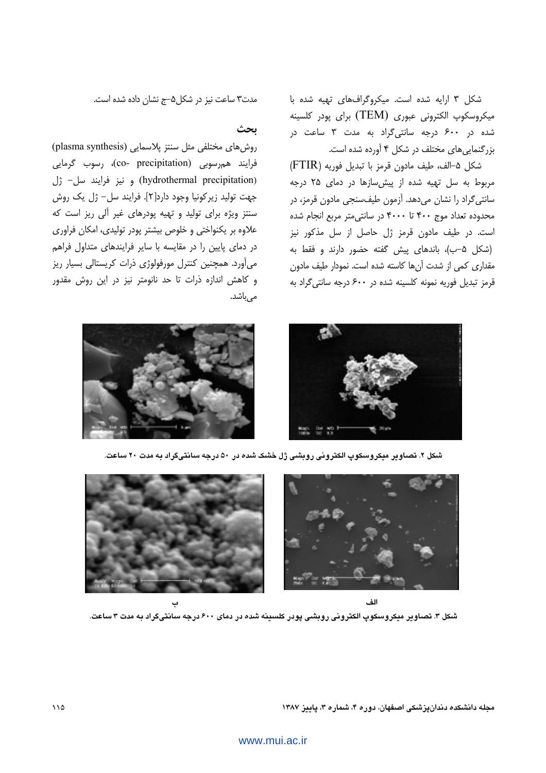شکل ۳ ارایه شده است. میکروگرافهای تهیه شده با میکروسکوپ الکترونی عبوری (TEM) برای پودر کلسینه شده در ۶۰۰ درجه سانتی گراد به مدت ۳ ساعت در بزرگنمایی های مختلف در شکل ۴ آورده شده است.

شكل ۵–الف، طيف مادون قرمز با تبديل فوريه (FTIR) مربوط به سل تهیه شده از پیش سازها در دمای ۲۵ درجه سانتی گراد را نشان میدهد. آزمون طیفسنجی مادون قرمز، در محدوده تعداد موج ۴۰۰ تا ۴۰۰۰ در سانتی متر مربع انجام شده است. در طیف مادون قرمز ژل حاصل از سل مذکور نیز (شکل ۵–ب)، باندهای پیش گفته حضور دارند و فقط به مقداری کمی از شدت آنها کاسته شده است. نمودار طیف مادون قرمز تبدیل فوریه نمونه کلسینه شده در ۶۰۰ درجه سانتی گراد به

مدت۳ ساعت نیز در شکل۵–ج نشان داده شده است.

## ىحث

روش های مختلفی مثل سنتز پلاسمایی (plasma synthesis) فرایند همرسوبی (co- precipitation)، رسوب گرمایی (hydrothermal precipitation) و نيز فرايند سل- ژل جهت توليد زيركونيا وجود دارد[٢]. فرايند سل- ژل يک روش سنتز ویژه برای تولید و تهیه پودرهای غیر آلی ریز است که علاوه بر یکنواختی و خلوص بیشتر پودر تولیدی، امکان فراوری در دمای پایین را در مقایسه با سایر فرایندهای متداول فراهم می آورد. همچنین کنترل مورفولوژی ذرات کریستالی بسیار ریز و کاهش اندازه ذرات تا حد نانومتر نیز در این روش مقدور میباشد.



شکل ۲. تصاویر میکروسکوپ الکترونی روبشی ژل خشک شده در ۵۰ درجه سانتیگراد به مدت ۲۰ ساعت.



شکل ۳. تصاویر میکروسکوپ الکترونی روبشی پودر کلسینه شده در دمای ۶۰۰ درجه سانتیگراد به مدت ۳ ساعت.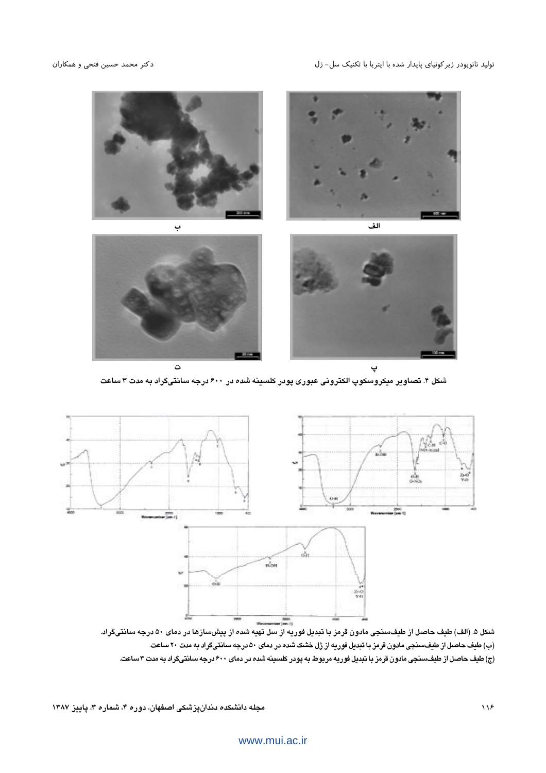

شکل ۴. تصاویر میکروسکوپ الکترونی عبوری پودر کلسینه شده در ۶۰۰ درجه سانتیگراد به مدت ۳ ساعت



(ب) طیف حاصل از طیفسنجی مادون قرمز با تبدیل فوریه از ژل خشک شده در دمای ۵۰ درجه سانتیگراد به مدت ۲۰ ساعت. (ج) طیف حاصل از طیفسنجی مادون قرمز با تبدیل فوریه مربوط به پودر کلسینه شده در دمای ۶۰۰ درجه سانتیگراد به مدت ۳ساعت.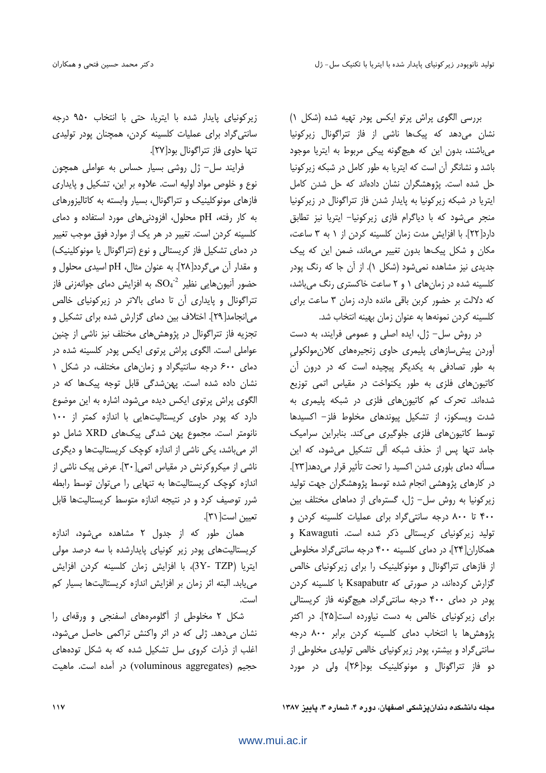بررسی الگوی پراش پرتو ایکس پودر تهیه شده (شکل ۱) نشان میدهد که پیکها ناشی از فاز تتراگونال زیرکونیا میباشند، بدون این که هیچگونه پیکی مربوط به ایتریا موجود باشد و نشانگر آن است که ایتریا به طور کامل در شبکه زیرکونیا حل شده است. پژوهشگران نشان دادهاند که حل شدن کامل ایتریا در شبکه زیرکونیا به پایدار شدن فاز تتراگونال در زیرکونیا منجر می شود که با دیاگرام فازی زیرکونیا- ایتریا نیز تطابق دارد[٢٢]. با افزايش مدت زمان كلسينه كردن از ١ به ٣ ساعت، مکان و شکل پیکها بدون تغییر میماند، ضمن این که پیک جدیدی نیز مشاهده نمی شود (شکل ۱). از آن جا که رنگ یودر کلسینه شده در زمان های ۱ و ۲ ساعت خاکستری رنگ میباشد، كه دلالت بر حضور كربن باقى مانده دارد، زمان ٣ ساعت براى كلسينه كردن نمونهها به عنوان زمان بهينه انتخاب شد.

در روش سل- ژل، ایده اصلی و عمومی فرایند، به دست آوردن پیش سازهای پلیمری حاوی زنجیرههای کلان مولکولی به طور تصادفی به یکدیگر پیچیده است که در درون آن کاتیونهای فلزی به طور یکنواخت در مقیاس اتمی توزیع شدهاند. تحرک کم کاتیونهای فلزی در شبکه پلیمری به شدت ویسکوز، از تشکیل پیوندهای مخلوط فلز- اکسیدها توسط کاتیونهای فلزی جلوگیری میکند. بنابراین سرامیک جامد تنها پس از حذف شبکه آلی تشکیل میشود، که این مسأله دماي بلوري شدن اكسيد را تحت تأثير قرار مي دهد[٢٣]. در کارهای پژوهشی انجام شده توسط پژوهشگران جهت تولید زیر کونیا به روش سل- ژل، گسترهای از دماهای مختلف بین ۴۰۰ تا ۸۰۰ درجه سانتی گراد برای عملیات کلسینه کردن و تولید زیرکونیای کریستالی ذکر شده است. Kawaguti و همکاران[۲۴]، در دمای کلسینه ۴۰۰ درجه سانتی گراد مخلوطی از فازهای تتراگونال و مونوکلینیک را برای زیرکونیای خالص گزارش کردهاند، در صورتی که Ksapabutr با کلسینه کردن پودر در دمای ۴۰۰ درجه سانتی گراد، هیچ گونه فاز کریستالی برای زیر کونیای خالص به دست نیاورده است[۲۵]. در اکثر پژوهش ها با انتخاب دمای کلسینه کردن برابر ۸۰۰ درجه سانتی گراد و بیشتر، پودر زیرکونیای خالص تولیدی مخلوطی از دو فاز تتراگونال و مونوكلينيك بود[۲۶]، ولي در مورد

زیر کونیای پایدار شده با ایتریا، حتی با انتخاب ۹۵۰ درجه سانتی گراد برای عملیات کلسینه کردن، همچنان پودر تولیدی تنها حاوي فاز تتراگونال بود[٢٧].

فرایند سل- ژل روشی بسیار حساس به عواملی همچون نوع و خلوص مواد اولیه است. علاوه بر این، تشکیل و پایداری فازهای مونوکلینیک و تتراگونال، بسیار وابسته به کاتالیزورهای به کار رفته، pH محلول، افزودنی های مورد استفاده و دمای كلسينه كردن است. تغيير در هر يک از موارد فوق موجب تغيير در دمای تشکیل فاز کریستالی و نوع (تتراگونال یا مونوکلینیک) و مقدار آن می گردد[۲۸]. به عنوان مثال، pH اسیدی محلول و حضور آنیونهایی نظیر  ${\rm SO_4}^2$ ، به افزایش دمای جوانهزنی فاز تتراگونال و پایداری آن تا دمای بالاتر در زیرکونیای خالص می|نجامد[۲۹]. اختلاف بین دمای گزارش شده برای تشکیل و تجزیه فاز تتراگونال در پژوهشهای مختلف نیز ناشی از چنین عواملی است. الگوی پراش پرتوی ایکس پودر کلسینه شده در دمای ۶۰۰ درجه سانتیگراد و زمان های مختلف، در شکل ۱ نشان داده شده است. پهنشدگی قابل توجه پیکها که در الگوی پراش پرتوی ایکس دیده میشود، اشاره به این موضوع دارد که پودر حاوی کریستالیتهایی با اندازه کمتر از ۱۰۰ نانومتر است. مجموع پهن شدگی پیکهای XRD شامل دو اثر می باشد، یکی ناشی از اندازه کوچک کریستالیتها و دیگری ناشی از میکروکرنش در مقیاس اتمی[۳۰]. عرض پیک ناشی از اندازه کوچک کریستالیتها به تنهایی را می توان توسط رابطه شرر توصیف کرد و در نتیجه اندازه متوسط کریستالیتها قابل تعيين است[٣١].

همان طور که از جدول ۲ مشاهده میشود، اندازه کریستالیتهای پودر زیر کونیای پایدارشده با سه درصد مولی ايتريا (3Y- TZP)، با افزايش زمان كلسينه كردن افزايش می یابد. البته اثر زمان بر افزایش اندازه کریستالیتها بسیار کم است.

شکل ۲ مخلوطی از آگلومرههای اسفنجی و ورقهای را نشان میدهد. ژلی که در اثر واکنش تراکمی حاصل میشود، اغلب از ذرات کروی سل تشکیل شده که به شکل تودههای حجیم (voluminous aggregates) در آمده است. ماهیت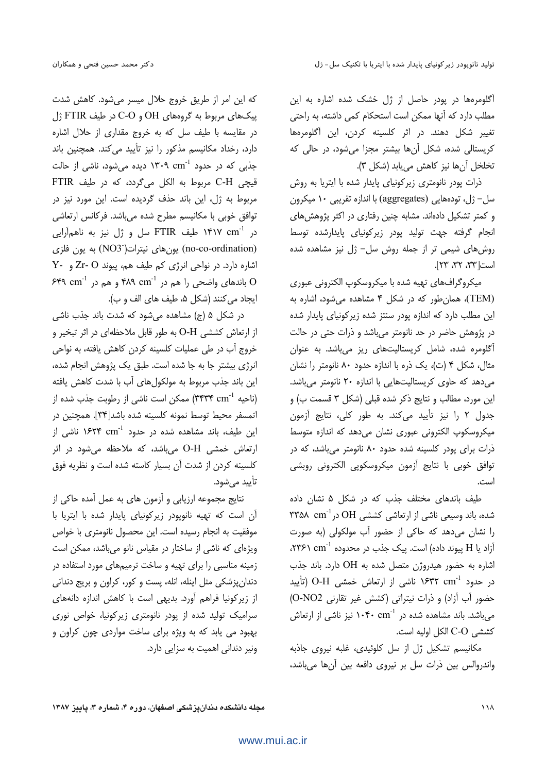آگلومرهها در یودر حاصل از ژل خشک شده اشاره به این مطلب دارد که آنها ممکن است استحکام کمی داشته، به راحتی تغییر شکل دهند. در اثر کلسینه کردن، این آگلومرهها کریستالی شده، شکل آنها بیشتر مجزا می شود، در حالی که تخلخل آن ها نيز كاهش مي يابد (شكل ٣).

ذرات پودر نانومتری زیرکونیای پایدار شده با ایتریا به روش سل– ژل، تودههایی (aggregates) با اندازه تقریبی ۱۰ میکرون و کمتر تشکیل دادهاند. مشابه چنین رفتاری در اکثر پژوهش های انجام گرفته جهت تولید پودر زیرکونیای پایدارشده توسط روش های شیمی تر از جمله روش سل- ژل نیز مشاهده شده است [٣٣، ٣٢، ٢٣].

میکروگرافهای تهیه شده با میکروسکوپ الکترونی عبوری (TEM)، همان طور که در شکل ۴ مشاهده می شود، اشاره به این مطلب دارد که اندازه پودر سنتز شده زیرکونیای پایدار شده در پژوهش حاضر در حد نانومتر می باشد و ذرات حتی در حالت آگلومره شده، شامل کریستالیتهای ریز میباشد. به عنوان مثال، شکل ۴ (ت)، یک ذره با اندازه حدود ۸۰ نانومتر را نشان می دهد که حاوی کریستالیتهایی با اندازه ۲۰ نانومتر میباشد. این مورد، مطالب و نتایج ذکر شده قبلی (شکل ۳ قسمت ب) و جدول ٢ را نيز تأييد مي كند. به طور كلي، نتايج آزمون میکروسکوپ الکترونی عبوری نشان میدهد که اندازه متوسط ذرات برای یودر کلسینه شده حدود ۸۰ نانومتر می باشد، که در توافق خوبی با نتایج أزمون میکروسکوپی الکترونی روبشی است.

طیف باندهای مختلف جذب که در شکل ۵ نشان داده شده، باند وسیعی ناشی از ارتعاشی کششی OH در $\rm{OH}$  ( را نشان می دهد که حاکی از حضور آب مولکولی (به صورت آزاد یا H پیوند داده) است. پیک جذب در محدوده ۲۳۶۱ cm<sup>-1</sup>، اشاره به حضور هیدروژن متصل شده به OH دارد. باند جذب در حدود <sup>1</sup>/7°۲ cm ۱۶۳۲ ناشی از ارتعاش خمشی O-H (تأیید حضور آب آزاد) و ذرات نيتراتى (كشش غير تقارنى O-NO2) می باشد. باند مشاهده شده در ۱۰۴۰ cm<sup>-1</sup> نیز ناشی از ارتعاش كششى C-O الكل اوليه است.

مکانیسم تشکیل ژل از سل کلوئیدی، غلبه نیروی جاذبه واندروالس بين ذرات سل بر نيروى دافعه بين آنها مى باشد،

که این امر از طریق خروج حلال میسر می شود. کاهش شدت ییکهای مربوط به گروههای OH و C-O در طیف FTIR ژل در مقایسه با طیف سل که به خروج مقداری از حلال اشاره دارد، رخداد مكانيسم مذكور را نيز تأييد مي كند. همچنين باند جذبی که در حدود ۱۳۰۹ cm<sup>-1</sup> دیده می شود، ناشی از حالت قیچی C-H مربوط به الکل میگردد، که در طیف FTIR مربوط به ژل، این باند حذف گردیده است. این مورد نیز در توافق خوبی با مکانیسم مطرح شده می باشد. فرکانس ارتعاشی در ۱۴۱۷ cm<sup>-1</sup> طیف FTIR سل و ژل نیز به ناهمآرایی (no-co-ordination) یونهای نیترات(NO3) به یون فلزی اشاره دارد. در نواحی انرژی کم طیف هم، پیوند Zr- O و Y-باندهای واضحی را هم در ۴۸۹ cm<sup>-1</sup> و هم در ۶۴۹ cm<sup>-1</sup> ايجاد مي كنند (شكل ۵، طيف هاي الف و ب).

در شکل ۵ (ج) مشاهده می شود که شدت باند جذب ناشی از ارتعاش کششی O-H به طور قابل ملاحظهای در اثر تبخیر و خروج آب در طی عملیات کلسینه کردن کاهش یافته، به نواحی انرژی بیشتر جا به جا شده است. طبق یک پژوهش انجام شده، این باند جذب مربوط به مولکولهای آب با شدت کاهش یافته (ناحیه ۳۴۳۴ cm<sup>-1</sup>) ممکن است ناشی از رطوبت جذب شده از اتمسفر محيط توسط نمونه كلسينه شده باشد[٣۴]. همچنين در این طیف، باند مشاهده شده در حدود ۱۶۲۴ cm<sup>-1</sup> ناشی از ارتعاش خمشی O-H میباشد، که ملاحظه میشود در اثر كلسينه كردن از شدت آن بسيار كاسته شده است و نظريه فوق تأبيد مے شود.

نتايج مجموعه ارزيابي و آزمون هاي به عمل آمده حاكي از آن است که تهیه نانوپودر زیرکونیای پایدار شده با ایتریا با موفقیت به انجام رسیده است. این محصول نانومتری با خواص ویژهای که ناشی از ساختار در مقیاس نانو می باشد، ممکن است زمینه مناسبی را برای تهیه و ساخت ترمیمهای مورد استفاده در دندان پزشکی مثل اینله، انله، پست و کور، کراون و بریج دندانی از زیرکونیا فراهم آورد. بدیهی است با کاهش اندازه دانههای سرامیک تولید شده از پودر نانومتری زیرکونیا، خواص نوری بهبود می یابد که به ویژه برای ساخت مواردی چون کراون و ونیر دندانی اهمیت به سزایی دارد.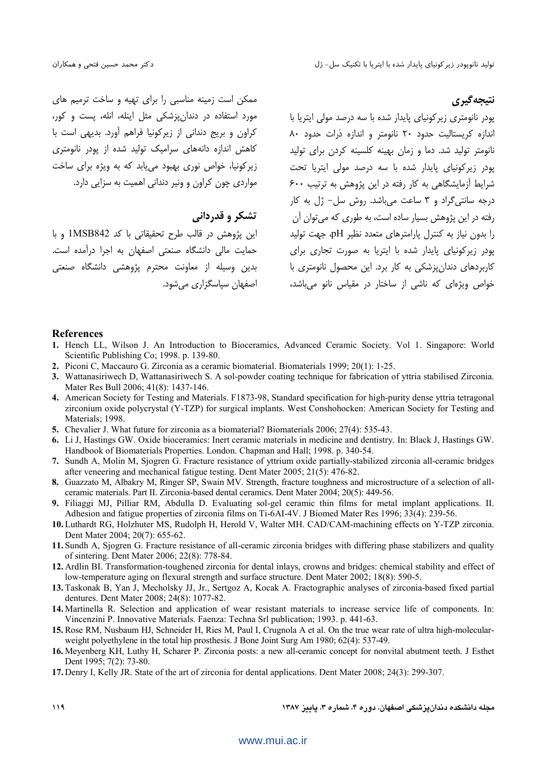ممکن است زمینه مناسبی را برای تهیه و ساخت ترمیم های مورد استفاده در دندان زشکی مثل اینله، انله، پست و کور، كراون و بريج دنداني از زيركونيا فراهم آورد. بديهي است با کاهش اندازه دانههای سرامیک تولید شده از یودر نانومتری زیرکونیا، خواص نوری بهبود می یابد که به ویژه برای ساخت مواردی چون کراون و ونیر دندانی اهمیت به سزایی دارد.

## تشکر و قدردانی

این پژوهش در قالب طرح تحقیقاتی با کد 1MSB842 و با حمایت مالی دانشگاه صنعتی اصفهان به اجرا درآمده است. بدين وسيله از معاونت محترم يژوهشى دانشگاه صنعتى اصفهان سیاسگزار*ی* مے شود. نتيجه گيري

پودر نانومتری زیرکونیای پایدار شده با سه درصد مولی ایتریا با اندازه كريستاليت حدود ٢٠ نانومتر و اندازه ذرات حدود ٨٠ نانومتر تولید شد. دما و زمان بهینه کلسینه کردن برا*ی* تولید یودر زیرکونیای پایدار شده با سه درصد مولی ایتریا تحت شرایط آزمایشگاهی به کار رفته در این پژوهش به ترتیب ۶۰۰ درجه سانتی گراد و ۳ ساعت می باشد. روش سل- ژل به کار رفته در این پژوهش بسیار ساده است، به طوری که می توان آن را بدون نیاز به کنترل پارامترهای متعدد نظیر pH، جهت تولید پودر زیرکونیای پایدار شده با ایتریا به صورت تجاری برای کاربردهای دندان نشکی به کار برد. این محصول نانومتری با خواص ویژوای که ناشی از ساختار در مقباس نانو می باشد،

#### **References**

- 1. Hench LL, Wilson J. An Introduction to Bioceramics, Advanced Ceramic Society. Vol 1. Singapore: World Scientific Publishing Co; 1998. p. 139-80.
- 2. Piconi C, Maccauro G. Zirconia as a ceramic biomaterial. Biomaterials 1999; 20(1): 1-25.
- 3. Wattanasiriwech D, Wattanasiriwech S. A sol-powder coating technique for fabrication of yttria stabilised Zirconia. Mater Res Bull 2006; 41(8): 1437-146.
- 4. American Society for Testing and Materials. F1873-98, Standard specification for high-purity dense yttria tetragonal zirconium oxide polycrystal (Y-TZP) for surgical implants. West Conshohocken: American Society for Testing and Materials; 1998.
- 5. Chevalier J. What future for zirconia as a biomaterial? Biomaterials 2006; 27(4): 535-43.
- 6. Li J. Hastings GW. Oxide bioceramics: Inert ceramic materials in medicine and dentistry. In: Black J. Hastings GW. Handbook of Biomaterials Properties. London. Chapman and Hall: 1998. p. 340-54.
- 7. Sundh A, Molin M, Sjogren G. Fracture resistance of yttrium oxide partially-stabilized zirconia all-ceramic bridges after veneering and mechanical fatigue testing. Dent Mater 2005; 21(5): 476-82.
- 8. Guazzato M, Albakry M, Ringer SP, Swain MV. Strength, fracture toughness and microstructure of a selection of allceramic materials. Part II. Zirconia-based dental ceramics. Dent Mater 2004; 20(5): 449-56.
- 9. Filiaggi MJ, Pilliar RM, Abdulla D. Evaluating sol-gel ceramic thin films for metal implant applications. II. Adhesion and fatigue properties of zirconia films on Ti-6AI-4V. J Biomed Mater Res 1996; 33(4): 239-56.
- 10. Luthardt RG, Holzhuter MS, Rudolph H, Herold V, Walter MH. CAD/CAM-machining effects on Y-TZP zirconia. Dent Mater 2004; 20(7): 655-62.
- 11. Sundh A, Sjogren G. Fracture resistance of all-ceramic zirconia bridges with differing phase stabilizers and quality of sintering. Dent Mater 2006; 22(8): 778-84.
- 12. Ardlin BI. Transformation-toughened zirconia for dental inlays, crowns and bridges: chemical stability and effect of low-temperature aging on flexural strength and surface structure. Dent Mater 2002; 18(8): 590-5.
- 13. Taskonak B, Yan J, Mecholsky JJ, Jr., Sertgoz A, Kocak A. Fractographic analyses of zirconia-based fixed partial dentures. Dent Mater 2008; 24(8): 1077-82.
- 14. Martinella R. Selection and application of wear resistant materials to increase service life of components. In: Vincenzini P. Innovative Materials. Faenza: Techna Srl publication; 1993. p. 441-63.
- 15. Rose RM, Nusbaum HJ, Schneider H, Ries M, Paul I, Crugnola A et al. On the true wear rate of ultra high-molecularweight polyethylene in the total hip prosthesis. J Bone Joint Surg Am 1980; 62(4): 537-49.
- 16. Meyenberg KH, Luthy H, Scharer P. Zirconia posts: a new all-ceramic concept for nonvital abutment teeth. J Esthet Dent 1995; 7(2): 73-80.
- 17. Denry I, Kelly JR. State of the art of zirconia for dental applications. Dent Mater 2008: 24(3): 299-307.

مجله دانشکده دندانیزشکی اصلهان، دوره ۴، شماره ۳، یادیز ۱۳۸۷

 $119$